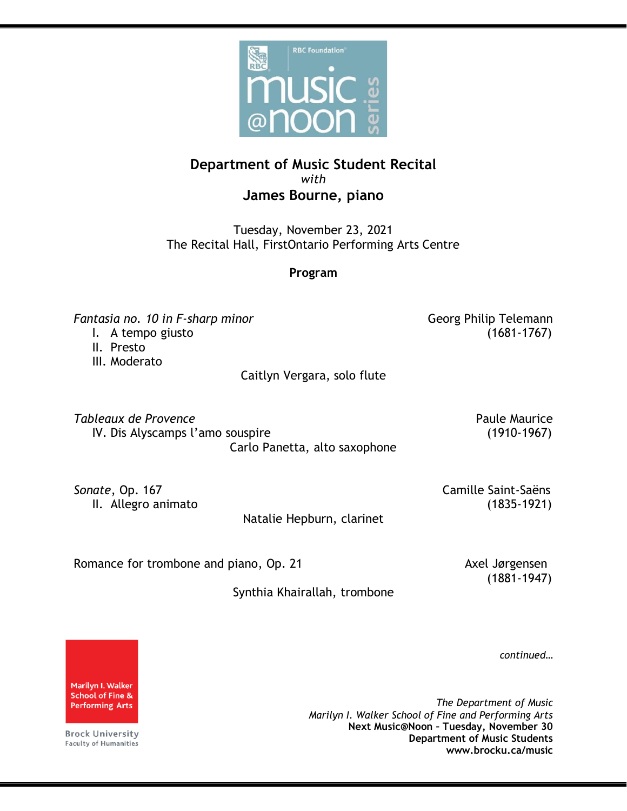

## **Department of Music Student Recital** *with* **James Bourne, piano**

Tuesday, November 23, 2021 The Recital Hall, FirstOntario Performing Arts Centre

## **Program**

*Fantasia no. 10 in F-sharp minor* Georg Philip Telemann

I. A tempo giusto (1681-1767)

II. Presto

III. Moderato

Caitlyn Vergara, solo flute

**Tableaux de Provence** Paule Maurice Paule Maurice IV. Dis Alyscamps l'amo souspire (1910-1967) Carlo Panetta, alto saxophone

**Sonate**, Op. 167 Camille Saint-Saëns

II. Allegro animato (1835-1921)

Natalie Hepburn, clarinet

Romance for trombone and piano, Op. 21 Axel Jørgensen

(1881-1947)

Synthia Khairallah, trombone

*continued…*

*The Department of Music Marilyn I. Walker School of Fine and Performing Arts* **Next Music@Noon – Tuesday, November 30 Department of Music Students www.brocku.ca/music**

Marilyn I. Walker **School of Fine & Performing Arts** 

**Brock University** Faculty of Humanities